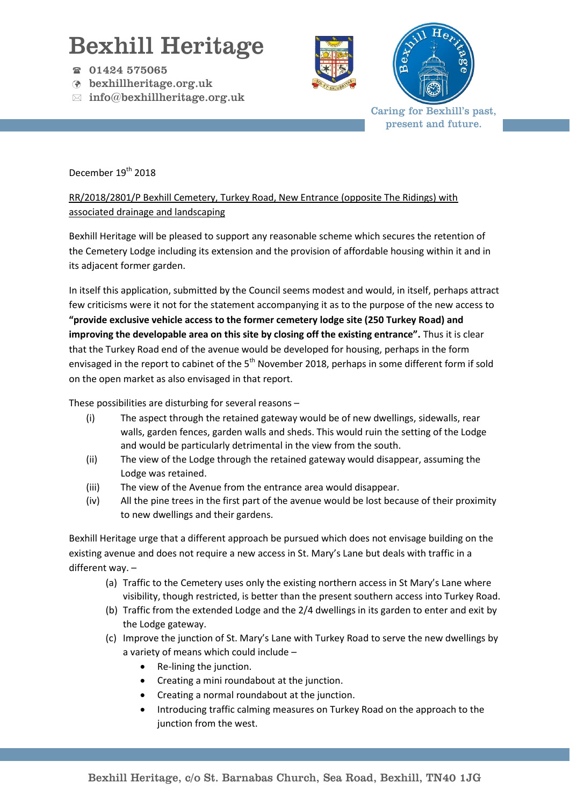## Bexhill Heritage

- 01424 575065
- bexhillheritage.org.uk
- $\boxtimes$  info@bexhillheritage.org.uk





Caring for Bexhill's past, present and future.

## December 19<sup>th</sup> 2018

## RR/2018/2801/P Bexhill Cemetery, Turkey Road, New Entrance (opposite The Ridings) with associated drainage and landscaping

Bexhill Heritage will be pleased to support any reasonable scheme which secures the retention of the Cemetery Lodge including its extension and the provision of affordable housing within it and in its adjacent former garden.

In itself this application, submitted by the Council seems modest and would, in itself, perhaps attract few criticisms were it not for the statement accompanying it as to the purpose of the new access to **"provide exclusive vehicle access to the former cemetery lodge site (250 Turkey Road) and improving the developable area on this site by closing off the existing entrance".** Thus it is clear that the Turkey Road end of the avenue would be developed for housing, perhaps in the form envisaged in the report to cabinet of the 5<sup>th</sup> November 2018, perhaps in some different form if sold on the open market as also envisaged in that report.

These possibilities are disturbing for several reasons –

- (i) The aspect through the retained gateway would be of new dwellings, sidewalls, rear walls, garden fences, garden walls and sheds. This would ruin the setting of the Lodge and would be particularly detrimental in the view from the south.
- (ii) The view of the Lodge through the retained gateway would disappear, assuming the Lodge was retained.
- (iii) The view of the Avenue from the entrance area would disappear.
- (iv) All the pine trees in the first part of the avenue would be lost because of their proximity to new dwellings and their gardens.

Bexhill Heritage urge that a different approach be pursued which does not envisage building on the existing avenue and does not require a new access in St. Mary's Lane but deals with traffic in a different way. –

- (a) Traffic to the Cemetery uses only the existing northern access in St Mary's Lane where visibility, though restricted, is better than the present southern access into Turkey Road.
- (b) Traffic from the extended Lodge and the 2/4 dwellings in its garden to enter and exit by the Lodge gateway.
- (c) Improve the junction of St. Mary's Lane with Turkey Road to serve the new dwellings by a variety of means which could include –
	- Re-lining the junction.
	- Creating a mini roundabout at the junction.
	- Creating a normal roundabout at the junction.
	- Introducing traffic calming measures on Turkey Road on the approach to the junction from the west.